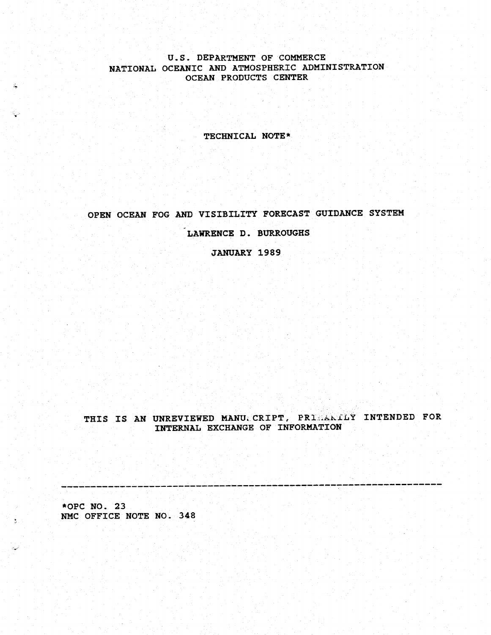## U.S. DEPARTMENT OF COMMERCE NATIONAL OCEANIC AND ATMOSPHERIC ADMINISTRATION OCEAN PRODUCTS CENTER

TECHNICAL NOTE\*

OPEN OCEAN FOG AND VISIBILITY FORECAST GUIDANCE SYSTEM

LAWRENCE D. BURROUGHS

JANUARY 1989

THIS IS AN UNREVIEWED MANU CRIPT, PRIMALLY INTENDED FOR INTERNAL EXCHANGE OF INFORMATION

- -- -- -- -- -- -- -- - -- -- -- -- -- -- -- -- -- -- -- -- -- -- -- -- -- -- -- -- -- -- -- ---

\*OPC NO. 23 NMC OFFICE NOTE NO. 348

 $\tilde{N}_0$ 

S.

 $\hat{\mathbf{v}}$ 

تحفيدان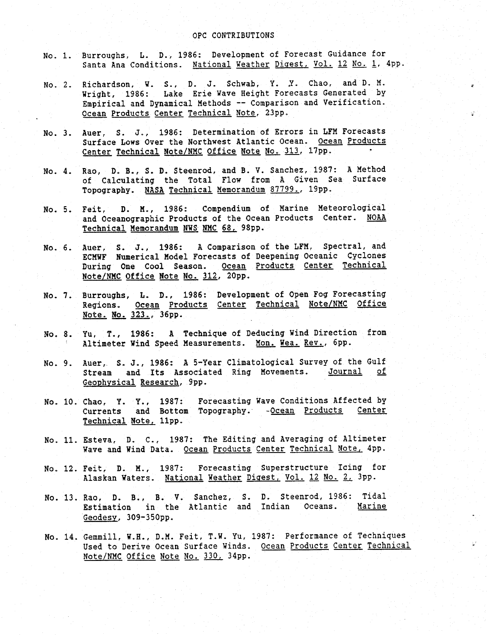#### OPC CONTRIBUTIONS

- No. 1. Burroughs, L. D., 1986: Development of Forecast Guidance for Santa Ana Conditions. National Weather Digest, Vol. 12 No. 1, 4pp.
- No. 2. Richardson, W. S., D. J. Schwab, Y. Y. Chao, and D. M. Wright, 1986: Lake Erie Wave Height Forecasts Generated by Empirical and Dynamical Methods -- Comparison and Verification. Ocean Products Center Technical Note, 23pp.
- No. 3. Auer, S. J., 1986: Determination of Errors in LFM Forecasts Surface Lows Over the Northwest Atlantic Ocean. Ocean Products Center Technical Note/NMC Office Note No. 313, 17pp.
- No. 4. Rao, D. B., S. D. Steenrod, and B. V. Sanchez, 1987: A Method of Calculating the Total Flow from A Given Sea Surface Topography. NASA Technical Memorandum 87799., l9pp.
- No. 5. Feit, D. M., 1986: Compendium of Marine Meteorological and Oceanographic Products of the Ocean Products Center. NOAA Technical Memorandum NWS NMC 68, 98pp.
- No. 6. Auer, S. J., 1986: A Comparison of the LFM, Spectral, and ECMWF Numerical Model Forecasts of Deepening Oceanic Cyclones During One Cool Season. Ocean Products Center Technical Note/NMC Office Note No. 312, 20pp.
- No. 7. Burroughs, L. D., 1986: Development of Open Fog Forecasting Regions. <u>Ocean Products Center Technical Note/NMC</u> <u>Office</u> Note. No. 323., 36pp.
- No. 8. Yu, T., 1986: A Technique of Deducing Wind Direction from Altimeter Wind Speed Measurements. Mon. Wea. Rev., 6pp.
- No. 9. Auer, S. J., 1986: A 5-Year Climatological Survey of the Gulf Stream and Its Associated Ring Movements. Journal of Geophysical Research, 9pp.
- No. 10. Chao, Y. Y., 1987: Forecasting Wave Conditions Affected by Currents and Bottom Topography. -Ocean Products Center Technical Note, 11pp.
- No. 11. Esteva, D. C., 1987: The Editing and Averaging of Altimeter Wave and Wind Data. Ocean Products Center Technical Note, 4pp.
- No. 12. Feit, D. M., 1987: Forecasting Superstructure Icing for Alaskan Waters. National Weather Digest, Vol. 12 No. 2, 3pp.
- No. 13. Rao, D. B., B. V. Sanchez, S. D. Steenrod, 1986: Tidal Estimation in the Atlantic and Indian Oceans. Geodesy, 309-350pp.
- No. 14. Gemmill, W.H., D.M. Feit, T.W. Yu, 1987: Performance of Techniques Used to Derive Ocean Surface Winds. Ocean Products Center Technical Note/NMC Office Note No. 330, 34pp.

 $\mathbb{C}^2$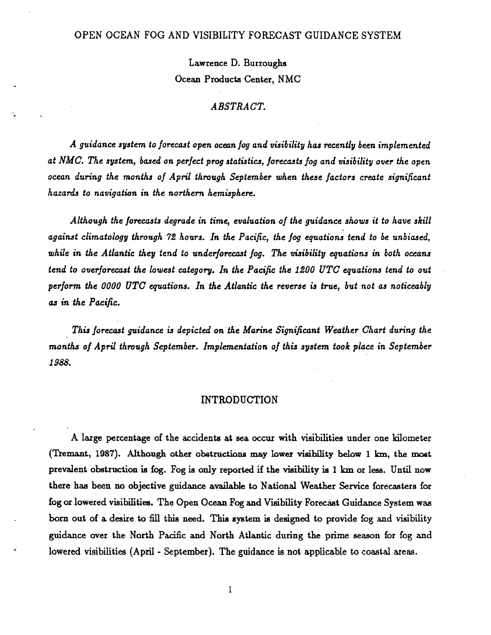## OPEN OCEAN FOG AND VISIBILITY FORECAST GUIDANCE SYSTEM

Lawrence D. Burroughs Ocean Products Center, NMC

## *ABSTRACT.*

*A guidance system to forecast open ocean fog and visibility has recently been implemented at NMC. The system, based on perfect prog statistics, forecasts fog and visibility over the open ocean during the months of April through September when these factors create significant hazards to navigation in the northern hemisphere.*

*Although the forecasts degrade in time, evaluation of the guidance shows it to have skill against climatology through 72 hours. In the Pacific, the fog equations tend to be unbiased, while in the Atlantic they tend to underforecast fog. The visibility equations in both oceans tend to overforecast the lowest category. In the Pacific the 1200 UTC equations tend to out perform the 0000 UTC equations. In the Atlantic the reverse is true, but not as noticeably as in the Pacific.*

*This forecast guidance is depicted on the Marine Significant Weather Chart during the months of April through September. Implementation of this system took place in September 1988.*

#### INTRODUCTION

A large percentage of the accidents at sea occur with visibilities under one kilometer (Tremant, 1987). Although other obstructions may lower visibility below 1 km, the most prevalent obstruction is fog. Fog is only reported if the visibility is 1 km or less. Until now there has been no objective guidance available to National Weather Service forecasters for fog or lowered visibilities. The Open Ocean Fog and Visibility Forecast Guidance System was born out of a desire to fill this need. This system is designed to provide fog and visibility guidance over the North Pacific and North Atlantic during the prime season for fog and lowered visibilities (April - September). The guidance is not applicable to coastal areas.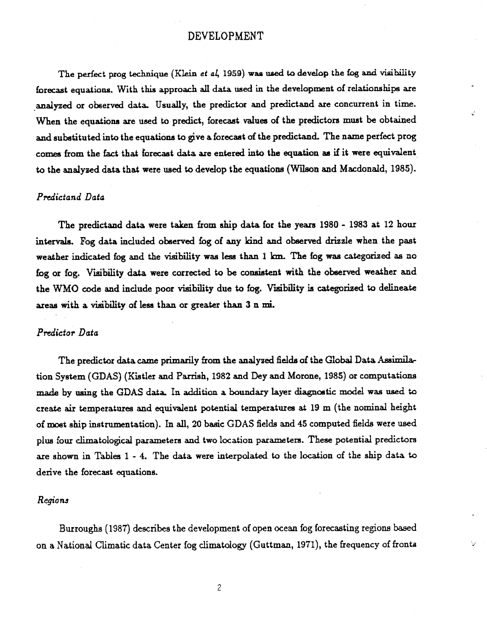# DEVELOPMENT

The perfect prog technique (Klein et al, 1959) was used to develop the fog and visibility forecast equations. With this approach all data used in the development of relationships are analyzed or observed data. Usually, the predictor and predictand are concurrent in time. When the equations are used to predict, forecast values of the predictors must be obtained and substituted into the equations to give a forecast of the predictand. The name perfect prog comes from the fact that forecast data are entered into the equation as if it were equivalent to the analyzed data that were used to develop the equations (Wilson and Macdonald, 1985).

 $\cdot$ 

V

## *Predictand Data*

The predictand data were taken from ship data for the years 1980 - 1983 at 12 hour intervals. Fog data included observed fog of any kind and observed drizzle when the past weather indicated fog and the visibility was less than 1 km. The fog was categorized as no fog or fog. Visibility data were corrected to be consistent with the observed weather and the WMO code and include poor visibility due to fog. Visibility is categorized to delineate areas with a visibility of less than or greater than 3 n mi.

## *Predictor Data*

The predictor data came primarily from the analyzed fields of the Global Data Assimilation System (GDAS) (Kistler and Parrish, 1982 and Dey and Morone, 1985) or computations made by using the GDAS data. In addition a boundary layer diagnostic model was used to create air temperatures and equivalent potential temperatures at 19 m (the nominal height of most ship instrumentation). In all, 20 basic GDAS fields and 45 computed fields were used plus four climatological parameters and two location parameters. These potential predictors are shown in Tables 1 - 4. The data were interpolated to the location of the ship data to derive the forecast equations.

#### *Regions*

Burroughs (1987) describes the development of open ocean fog forecasting regions based on a National Climatic data Center fog climatology (Guttman, 1971), the frequency of fronts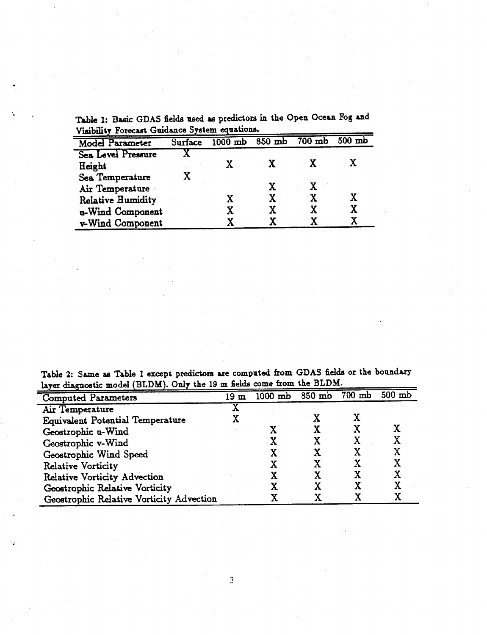Table 1: Basic GDAS fields used as predictors in the Open Ocean Fog and Visibility Forecast Guidance System equations.

| <b>Model Parameter</b>   | Surface | $1000$ mb $850$ mb |   | $700$ mb | $500$ mb |
|--------------------------|---------|--------------------|---|----------|----------|
| Sea Level Pressure       |         |                    |   |          |          |
| Height                   |         |                    |   |          |          |
| Sea Temperature          |         |                    |   |          |          |
| Air Temperature          |         |                    |   |          |          |
| <b>Relative Humidity</b> |         |                    |   |          | X        |
| u-Wind Component         |         |                    | X |          | X        |
| v-Wind Component         |         |                    |   |          |          |

**Table** 2: **Same** as **Table** 1 except predictors are computed from GDAS fields or the boudary layer diagnostic model (BLDM). Only the 19 m fields come from the BLDM.

| rayer disknowned moder (popular). Only   |     |           |          |          |          |
|------------------------------------------|-----|-----------|----------|----------|----------|
| <b>Computed Parameters</b>               | 19m | $1000$ mb | $850$ mb | $700$ mb | $500$ mb |
| Air Temperature                          |     |           |          |          |          |
| <b>Equivalent Potential Temperature</b>  |     |           |          |          |          |
| Geostrophic u-Wind                       |     |           |          |          |          |
| Geostrophic v-Wind                       |     |           |          |          |          |
| Geostrophic Wind Speed                   |     |           |          |          |          |
| <b>Relative Vorticity</b>                |     |           |          |          |          |
| <b>Relative Vorticity Advection</b>      |     |           |          |          |          |
| Geostrophic Relative Vorticity           |     |           |          |          |          |
|                                          |     |           |          |          |          |
| Geostrophic Relative Vorticity Advection |     |           |          |          |          |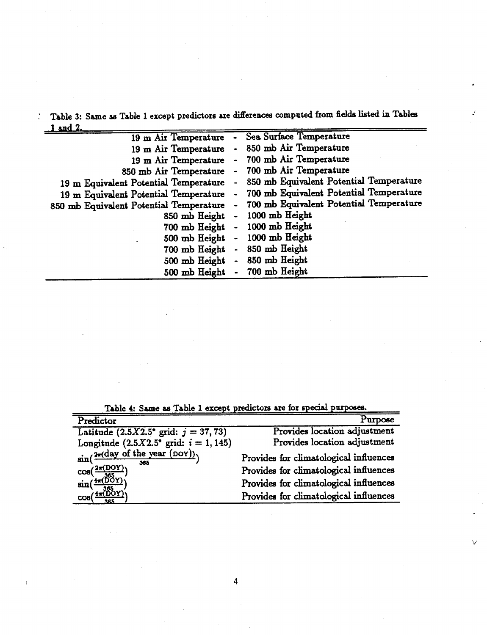: Table 3: Same as Table 1 except predictors are diferences computed from fields listed in Tables  $1$  and  $2$ .

 $\frac{1}{2}$ 

| 19 m Air Temperature                    |           | Sea Surface Temperature                 |
|-----------------------------------------|-----------|-----------------------------------------|
| 19 m Air Temperature                    |           | 850 mb Air Temperature                  |
| 19 m Air Temperature                    |           | 700 mb Air Temperature                  |
| 850 mb Air Temperature                  |           | - 700 mb Air Temperature                |
| 19 m Equivalent Potential Temperature   |           | 850 mb Equivalent Potential Temperature |
| 19 m Equivalent Potential Temperature   |           | 700 mb Equivalent Potential Temperature |
| 850 mb Equivalent Potential Temperature |           | 700 mb Equivalent Potential Temperature |
| 850 mb Height                           |           | 1000 mb Height                          |
| 700 mb Height                           |           | 1000 mb Height                          |
| 500 mb Height                           | $\bullet$ | 1000 mb Height                          |
| 700 mb Height                           |           | 850 mb Height                           |
| 500 mb Height                           |           | 850 mb Height                           |
| 500 mb Height                           |           | 700 mb Height                           |

Table 4: Same as Table 1 except predictors are for special purposes.

| Predictor                                               | Purpose                                |
|---------------------------------------------------------|----------------------------------------|
| Latitude $(2.5X2.5^{\circ} \text{ grid: } j = 37, 73)$  | Provides location adjustment           |
| Longitude $(2.5X2.5^{\circ} \text{ grid: } i = 1, 145)$ | Provides location adjustment           |
| $\sin(\frac{2\pi(\text{day of the year (DOY}))}{365})$  | Provides for climatological influences |
| $cos(\frac{2\pi (DOY)}{2\pi})$                          | Provides for climatological influences |
| $\sin(\frac{4\pi(\overline{DOY})}{2})$                  | Provides for climatological influences |
| $\cos(\frac{4\pi(\widetilde{D}OY)}{2\pi})$              | Provides for climatological influences |

4

V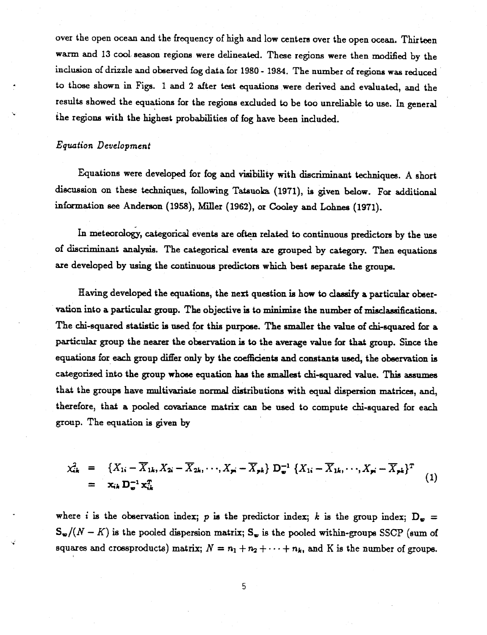over the open ocean and the frequency of high and low centers over the open ocean. Thirteen warm and 13 cool. season regions were delineated. These regions were then modified by the inclusion of drizzle and observed fog data for 1980 - 1984. The number of regions was reduced to those shown in Figs. 1 and 2 after test equations were derived and evaluated, and the results showed the equations for the regions excluded to be too unreliable to use. In general the regions with the highest probabilities of fog have been included.

## *Equation Development*

Equations were developed for fog and visibility with discriminant techniques. A short discussion on these techniques, following Tatsuoka (1971), is given below. For additional information see Anderson (1958), Mller (1962), or Cooley and Lohnes (1971).

In meteorology, categorical events are often related to continuous predictors by the use of discriminant analysis. The categorical events are grouped by category. Then equations are developed by using the continuous predictors which best separate the groups.

Having developed the equations, the next question is how to classify a particular observation into a particular group. The objective is to minimise the number of misclassifications. The chi-squared statistic is used for this purpose. The smaller the value of chi-squared for a particular group the nearer the observation is to the average value for that group. Since the equations for each group differ only by the coefficients and constants used, the observation is categorized into the group whose equation has the smallest chi-squared value. This assumes that the groups have multivariate normal distributions with equal dispersion matrices, and, therefore, that a pooled covariance matrix can be used to compute chi-squared for each group. The equation is given by

$$
\chi_{ik}^2 = \{X_{1i} - \overline{X}_{1k}, X_{2i} - \overline{X}_{2k}, \cdots, X_{pi} - \overline{X}_{pk}\} \mathbf{D}_{\bullet}^{-1} \{X_{1i} - \overline{X}_{1k}, \cdots, X_{pi} - \overline{X}_{pk}\}^T
$$
\n
$$
= \mathbf{x}_{ik} \mathbf{D}_{\bullet}^{-1} \mathbf{x}_{ik}^T
$$
\n(1)

where *i* is the observation index; p is the predictor index; k is the group index;  $D<sub>m</sub> =$  $S_{\mathbf{w}}/(N - K)$  is the pooled dispersion matrix;  $S_{\mathbf{w}}$  is the pooled within-groups SSCP (sum of squares and crossproducts) matrix;  $N = n_1 + n_2 + \cdots + n_k$ , and K is the number of groups.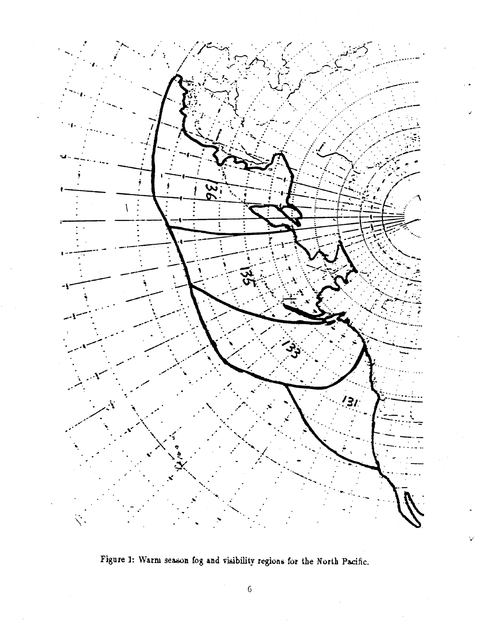

Figure 1: Warm season fog and visibility regions for the North Pacific.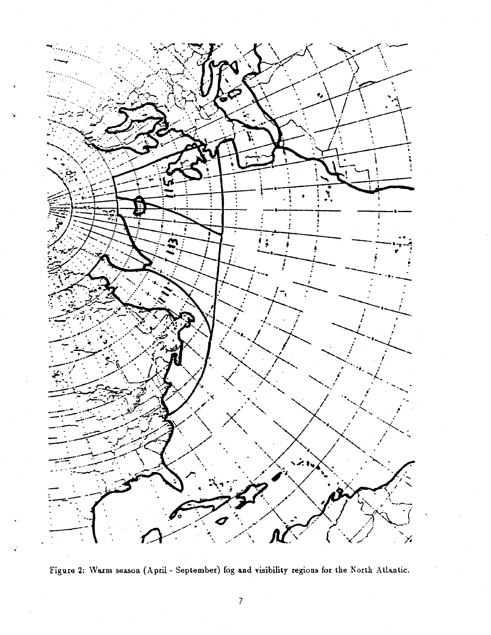

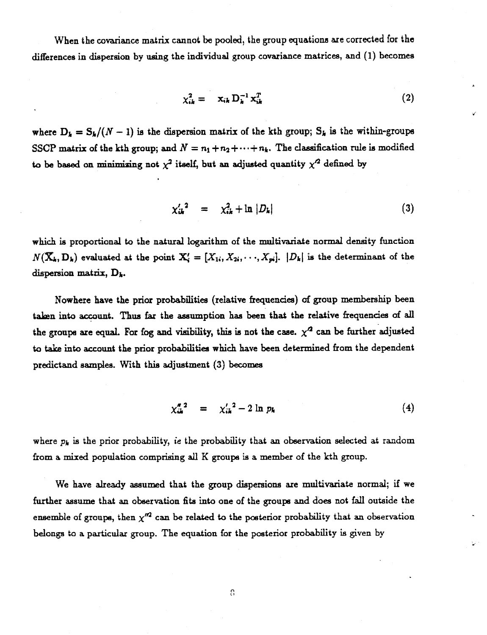When the covariance matrix cannot be pooled, the group equations are corrected for the differences in dispersion by using the individual group covariance matrices, and (1) becomes

$$
\chi_{ik}^2 = \mathbf{x}_{ik} \, \mathbf{D}_k^{-1} \mathbf{x}_{ik}^T \tag{2}
$$

where  $D_k = S_k/(N-1)$  is the dispersion matrix of the kth group;  $S_k$  is the within-groups SSCP matrix of the kth group; and  $N = n_1 + n_2 + \cdots + n_k$ . The classification rule is modified to be based on minimizing not  $\chi^2$  itself, but an adjusted quantity  $\chi'^2$  defined by

$$
\chi_{ik}^{\prime\,2} = \chi_{ik}^2 + \ln|D_k| \tag{3}
$$

which is proportional to the natural logarithm of the multivariate normal density function  $N(\mathbf{X}_k, \mathbf{D}_k)$  evaluated at the point  $\mathbf{X}'_i = [X_{1i}, X_{2i}, \cdots, X_{pi}]$ .  $|D_k|$  is the determinant of the dispersion matrix,  $D_k$ .

Nowhere have the prior probabilities (relative frequencies) of group membership been taken into account. Thus far the assumption has been that the relative frequencies of all the groups are equal. For fog and visibility, this is not the case.  $\chi^2$  can be further adjusted to take into account the prior probabilities which have been determined from the dependent predictand samples. With this adjustment (3) becomes

$$
\chi_{ik}^{n}{}^{2} = \chi_{ik}^{\prime}{}^{2} - 2 \ln p_{k} \tag{4}
$$

where  $p_k$  is the prior probability, ie the probability that an observation selected at random from a mixed population comprising all K groups is a member of the kth group.

We have already assumed that the group dispersions are multivariate normal; if we further assume that an observation fits into one of the groups and does not fall outside the ensemble of groups, then  $\chi^{\prime\prime 2}$  can be related to the posterior probability that an observation belongs to a particular group. The equation for the posterior probability is given by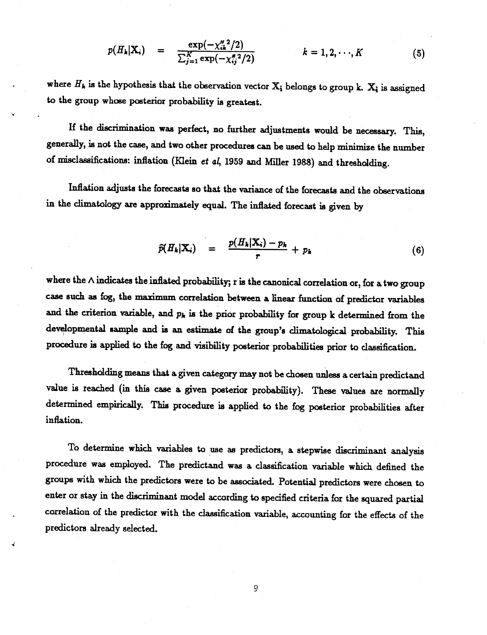$$
p(H_k|\mathbf{X}_i) = \frac{\exp(-\chi_{ik}^M{}^2/2)}{\sum_{j=1}^K \exp(-\chi_{ij}^M{}^2/2)} \qquad k = 1, 2, \cdots, K \qquad (5)
$$

where  $H_k$  is the hypothesis that the observation vector  $X_i$  belongs to group k.  $X_i$  is assigned to the group whose posterior probability is greatest.

If the discrimination was perfect, no further adjustments would be necessary. This, generally, is not the case, and two other procedures can be used to help minimize the number of misclassifications: inflation (Klein *et* al, 1959 and Miller 1988) and thresholding.

Inflation adjusts the forecasts so that the variance of the forecasts and the observations in the climatology are approximately equal. The inflated forecast is given by

$$
\widehat{p}(H_k|\mathbf{X}_i) = \frac{p(H_k|\mathbf{X}_i) - p_k}{r} + p_k \tag{6}
$$

where the  $\wedge$  indicates the inflated probability; r is the canonical correlation or, for a two group case such as fog, the maximum correlation between a linear function of predictor variables and the criterion variable, and  $p_k$  is the prior probability for group k determined from the developmental sample and is an estimate of the group's climatological probability. This procedure is applied to the fog and visibility posterior probabilities prior to classification.

Thresholding means that a given category may not be chosen unless a certain predictand value is reached (in this case a given posterior probability). These values are normally determined empirically. This procedure is applied to the fog posterior probabilities after inflation.

To determine which variables to use as predictors, a stepwise discriminant analysis procedure was employed. The predictand was a classification variable which defined the groups with which the predictors were to be associated. Potential predictors were chosen to enter or stay in the discriminant model according to specified criteria for the squared partial correlation of the predictor with the classification variable, accounting for the effects of the predictors already selected.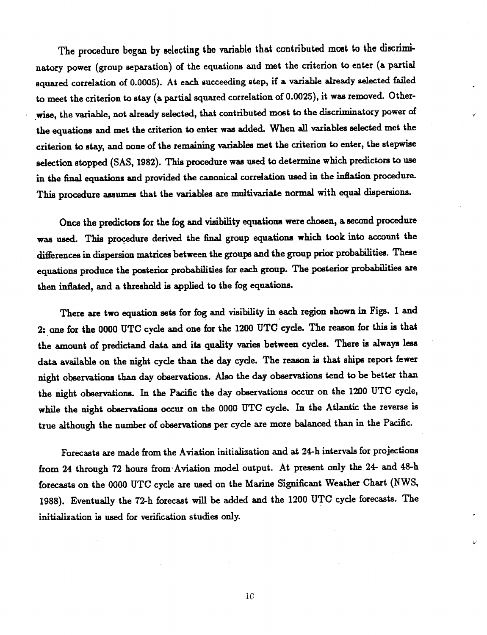The procedure began by selecting the variable that contributed most to the discriminatory power (group separation) of the equations and met the criterion to enter (a partial squared correlation of 0.0005). At each succeeding step, if a variable already selected failed to meet the criterion to stay (a partial squared correlation of 0.0025), it was removed. Otherwise, the variable, not already selected, that contributed most to the discriminatory power of the equations and met the criterion to enter was added. When all variables selected met the criterion to stay, and none of the remaining variables met the criterion to enter, the stepwise selection stopped (SAS, 1982). This procedure was used to determine which predictors to use in the final equations and provided the canonical correlation used in the inflation procedure. This procedure assumes that the variables are multivariate normal with equal dispersions.

Once the predictors for the fog and visibility equations were chosen, a second procedure was used. This procedure derived the final group equations which took into account the differences in dispersion matrices between the groups and the group prior probabilities. These equations produce the posterior probabilities for each group. The posterior probabilities are then inflated, and a threshold is applied to the fog equations.

There are two equation sets for fog and visibility in each region shown in Figs. 1 and 2: one for the 0000 UTC cycle and one for the 1200 UTO cycle. The reason for this is that the amount of predictand data and its quality varies between cycles. There is always less data available on the night cycle than the day cycle. The reason is that ships report fewer night observations than day observations. Also the day observations tend to be better than the night observations. In the Pacific the day observations occur on the 1200 UTC cycle, while the night observations occur on the 0000 UTC cycle. In the Atlantic the reverse is true although the number of observations per cycle are more balanced than in the Pacific.

Forecasts are made from the Aviation initialization and at 24-h intervals for projections from 24 through 72 hours from-Aviation model output. At present only the 24- and 48-h forecasts on the 0000 UTC cycle are used on the Marine Significant Weather Chart (NWS, 1988). Eventually the 72-h forecast will be added and the 1200 UTC cycle forecasts. The initialization is used for verification studies only.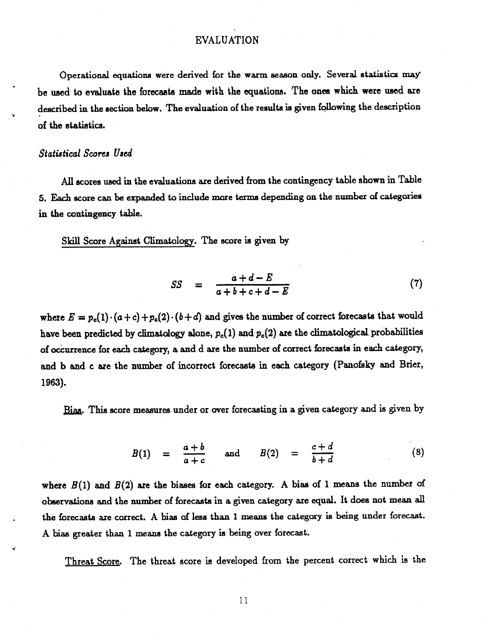## EVALUATION

Operational equations were derived for the warm season only. Several statistics may be used to **evaluate** the **forecasta** made with the **equations.** The **ones** which **were used are** described in the section below. The evaluation of the results is given following the description of the statistics.

## *Statistical Scores Used*

All scores used in the evaluations are derived from the contingency table shown in Table 5. Each score can be expanded to include more terms depending on the number of categories in the contingency table.

Skill Score Against Climatology. The score is given by

$$
SS = \frac{a+d-E}{a+b+c+d-E} \tag{7}
$$

where  $E = p_c(1) \cdot (a+c) + p_c(2) \cdot (b+d)$  and gives the number of correct forecasts that would have been predicted by climatology alone,  $p_c(1)$  and  $p_c(2)$  are the climatological probabilities of occurrence for each category, a and d are the number of correct forecasts in each category, and b and c are the number of incorrect forecasts in each category (Panofsky and Brier, 196).

Bias. This score measures under or over forecasting in a given category and is given by

measures under or over forecasting in a given category and is given by  
\n
$$
B(1) = \frac{a+b}{a+c} \quad \text{and} \quad B(2) = \frac{c+d}{b+d} \quad (8)
$$

where  $B(1)$  and  $B(2)$  are the biases for each category. A bias of 1 means the number of observations and the number of forecasts in a given category are equal. It does not mean all the forecasts are correct. A bias of less than 1 means the category is being under forecast. A bias greater than 1 means the category is being over forecast.

Threat Score. The threat score is developed from the percent correct which is the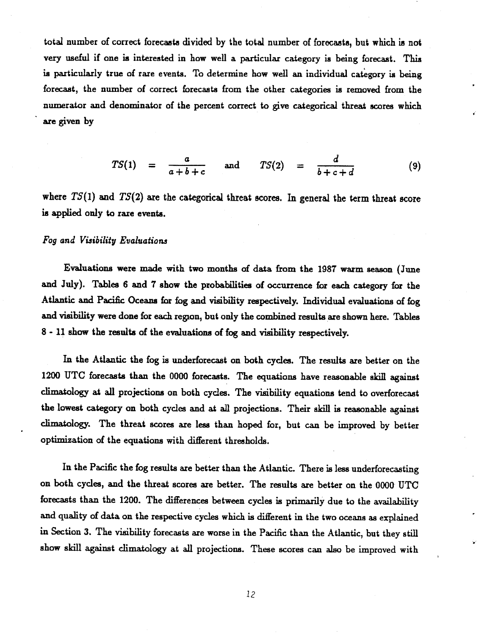total number of correct forecasts divided by the total number of forecasts, but which is not very useful if one is interested in how well a particular category is being forecast. This is particularly true of rare events. To determine how well an individual category is being forecast, the number of correct forecasts from the other categories is removed from the numerator and denominator of the percent correct to give categorical threat scores which are given by

$$
TS(1) = \frac{a}{a+b+c} \quad \text{and} \quad TS(2) = \frac{d}{b+c+d} \quad (9)
$$

where *TS(1)* and *TS(2)* are the categorical threat scores. In general the term threat score is applied only to rare events.

## *Fog and Visibility Evaluations*

Evaluations were made with two months of data from the 1987 warm season (June and July). Tables 6 and 7 show the probabilities of occurrence for each category for the Atlantic and Pacific Oceans for fog and visibility respectively. Individual evaluations of fog and visibility were done for each region, but only the combined results are shown here. Tables 8 - 11 show the results of the evaluations of fog and visibility respectively.

In the Atlantic the fog is underforecast on both cycles. The results are better on the 1200 UTC forecasts than the 0000 forecasts. The equations have reasonable skill against climatology at all projections on both cycles. The visibility equations tend to overforecast the lowest category on both cycles and at all projections. Their skill is reasonable against climatology. The threat scores are less than hoped for, but can be improved by better optimization of the equations with different thresholds.

In the Pacific the fog results are better than the Atlantic. There is less underforecasting on both cycles, and the threat scores are better. The results are better on the 0000 UTC forecasts than the 1200. The differences between cycles is primarily due to the availability and quality of data on the respective cycles which is different in the two oceans as explained in Section 3. The visibility forecasts are worse in the Pacific than the Atlantic, but they still show skill against climatology at all projections. These scores can also be improved with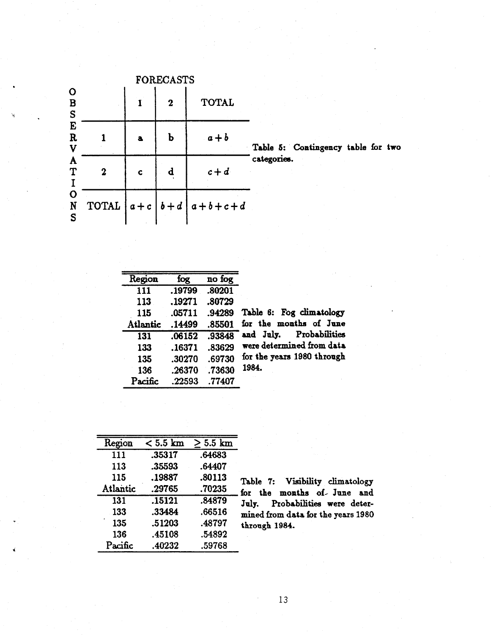|                                 | <b>FORECASTS</b> |   |              |                                   |   |  |  |  |  |
|---------------------------------|------------------|---|--------------|-----------------------------------|---|--|--|--|--|
| $\mathbf O$<br>B<br>S<br>E<br>E |                  | 1 | $\mathbf{2}$ | <b>TOTAL</b>                      |   |  |  |  |  |
| $\mathbf R$<br>$\mathbf v$      |                  | a | $\bf{b}$     | $a + b$                           | T |  |  |  |  |
| A<br>T<br>$\frac{1}{0}$         | $\mathbf 2$      | Ċ | $\mathbf d$  | $c+d$                             | ¢ |  |  |  |  |
| N<br>S                          |                  |   |              | TOTAL $a+c \mid b+d \mid a+b+c+d$ |   |  |  |  |  |

Table 5: Contingency table for two ategories.

| Region           | fog    | no fog |                            |
|------------------|--------|--------|----------------------------|
| $\overline{111}$ | .19799 | .80201 |                            |
| 113              | .19271 | .80729 |                            |
| 115              | .05711 | .94289 | Table 6: Fog climatology   |
| <b>Atlantic</b>  | .14499 | .85501 | for the months of June     |
| 131              | .06152 | .93848 | Probabilities<br>and July. |
| 133              | .16371 | .83629 | were determined from data  |
| 135              | .30270 | .69730 | for the years 1980 through |
| 136              | .26370 | .73630 | 1984.                      |
| Pacific          | .22593 | .77407 |                            |

| Region   | $< 5.5$ km | $5.5 \mathrm{km}$ |
|----------|------------|-------------------|
| 111      | .35317     | .64683            |
| 113      | .35593     | .64407            |
| 115      | .19887     | .80113            |
| Atlantic | .29765     | .70235            |
| 131      | .15121     | .84879            |
| 133      | .33484     | .66516            |
| 135      | .51203     | .48797            |
| 136      | .45108     | .54892            |
| Pacific  | .40232     | .59768            |

Table 7: Visibility climatology for the months of- June and July. Probabilities were determined from data for the years 1980 through 1984.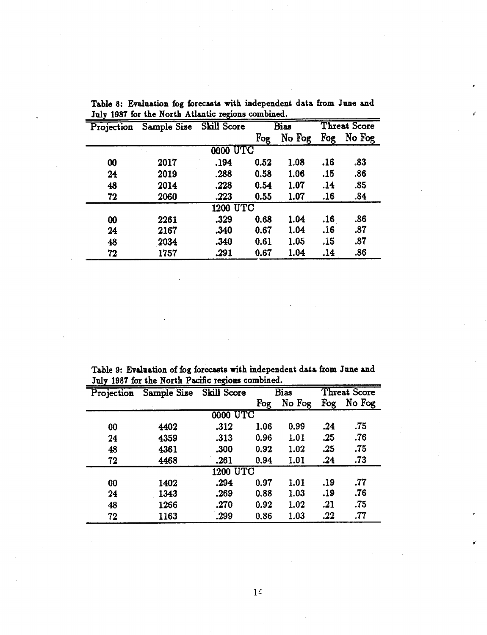| Projection            | Sample Size | Skill Score     |      | Bias   | Threat Score |        |
|-----------------------|-------------|-----------------|------|--------|--------------|--------|
|                       |             |                 | Fog  | No Fog | Fog          | No Fog |
|                       |             | <b>0000 UTC</b> |      |        |              |        |
| 00                    | 2017        | .194            | 0.52 | 1.08   | .16          | .83    |
| 24                    | 2019        | .288            | 0.58 | 1.06   | .15          | .86    |
| 48                    | 2014        | .228            | 0.54 | 1.07   | .14          | .85    |
| 72                    | 2060        | .223            | 0.55 | 1.07   | .16          | .84    |
|                       |             | 1200 UTC        |      |        |              |        |
| $\boldsymbol{\omega}$ | 2261        | .329            | 0.68 | 1.04   | .16          | .86    |
| 24                    | 2167        | .340            | 0.67 | 1.04   | .16          | .87    |
| 48                    | 2034        | .340            | 0.61 | 1.05   | .15          | .87    |
| 72                    | 1757        | .291            | 0.67 | 1.04   | .14          | .86    |

Table 8: Evaluation fog forecasts with independent data from June and July 1987 for the North Atlantic regions combined.

Table 9: Evaluation of fog forecasts with independent data from June and July 1987 for the North Pacific regions combined.

|            | ARTY TOOI TOT ARE TIGTER T GOING TO BLOWS COMMONICAL |                 |      |             |                     |        |  |  |  |
|------------|------------------------------------------------------|-----------------|------|-------------|---------------------|--------|--|--|--|
| Projection | Sample Size                                          | Skill Score     |      | <b>Bias</b> | <b>Threat Score</b> |        |  |  |  |
|            |                                                      |                 | Fog  | No Fog      | Fog                 | No Fog |  |  |  |
|            |                                                      | <b>0000 UTC</b> |      |             |                     |        |  |  |  |
| 00         | 4402                                                 | .312            | 1.06 | 0.99        | .24                 | .75    |  |  |  |
| 24         | 4359                                                 | .313            | 0.96 | 1.01        | .25                 | .76    |  |  |  |
| 48         | 4361                                                 | .300            | 0.92 | 1.02        | .25                 | .75    |  |  |  |
| 72         | 4468                                                 | .261            | 0.94 | 1.01        | .24                 | .73    |  |  |  |
|            |                                                      | <b>1200 UTC</b> |      |             |                     |        |  |  |  |
| 00         | 1402                                                 | .294            | 0.97 | 1.01        | .19                 | .77    |  |  |  |
| 24         | 1343                                                 | .269            | 0.88 | 1.03        | .19                 | .76    |  |  |  |
| 48         | 1266                                                 | .270            | 0.92 | 1.02        | .21                 | .75    |  |  |  |
| 72         | 1163                                                 | .299            | 0.86 | 1.03        | .22                 | .77    |  |  |  |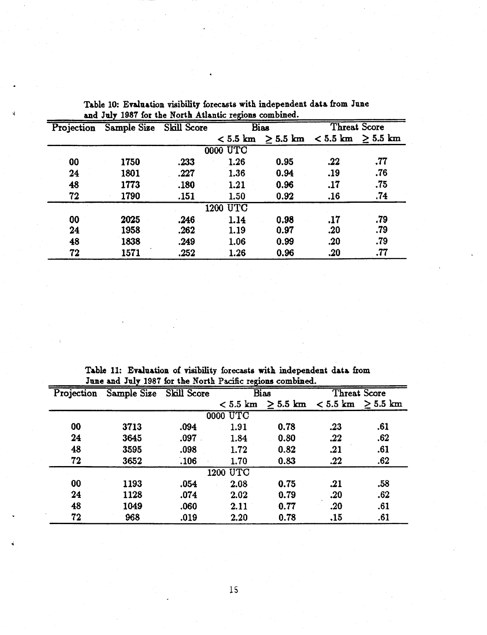| Projection | Sample Size Skill Score |      |                 | <b>Bias</b>                                       |     | <b>Threat Score</b> |
|------------|-------------------------|------|-----------------|---------------------------------------------------|-----|---------------------|
|            |                         |      |                 | $< 5.5$ km $\geq 5.5$ km $< 5.5$ km $\geq 5.5$ km |     |                     |
|            |                         |      | <b>0000 UTC</b> |                                                   |     |                     |
| 00         | 1750                    | .233 | 1.26            | 0.95                                              | .22 | .77                 |
| 24         | 1801                    | .227 | 1.36            | 0.94                                              | .19 | .76                 |
| 48         | 1773                    | .180 | 1.21            | 0.96                                              | .17 | .75                 |
| 72         | 1790                    | .151 | 1.50            | 0.92                                              | .16 | .74                 |
|            |                         |      | 1200 UTC        |                                                   |     |                     |
| 00         | 2025                    | .246 | 1.14            | 0.98                                              | .17 | .79                 |
| 24         | 1958                    | .262 | 1.19            | 0.97                                              | .20 | .79                 |
| 48         | 1838                    | .249 | 1.06            | 0.99                                              | .20 | .79                 |
| 72         | 1571                    | .252 | 1.26            | 0.96                                              | .20 | .77                 |

Table 10: Evaluation visibility forecasts with independent data from June and July 1987 for the North Atlantic regions combined.

Table 11: Evaluation of visibility forecasts with independent data from June and July 1987 for the North Pacific regions combined.

|            | June and July 1987 for the North Pacinc regions combined. |             |                 |                                                   |     |     |  |  |
|------------|-----------------------------------------------------------|-------------|-----------------|---------------------------------------------------|-----|-----|--|--|
| Projection | Sample Size                                               | Skill Score |                 | Threat Score<br><b>Bias</b>                       |     |     |  |  |
|            |                                                           |             |                 | $< 5.5$ km $\geq 5.5$ km $< 5.5$ km $\geq 5.5$ km |     |     |  |  |
|            |                                                           |             | <b>0000 UTC</b> |                                                   |     |     |  |  |
| 00         | 3713                                                      | .094        | 1.91            | 0.78                                              | .23 | .61 |  |  |
| 24         | 3645                                                      | .097        | 1.84            | 0.80                                              | .22 | .62 |  |  |
| 48         | 3595                                                      | .098        | 1.72            | 0.82                                              | .21 | .61 |  |  |
| 72         | 3652                                                      | .106        | 1.70            | 0.83                                              | .22 | .62 |  |  |
|            |                                                           |             | 1200 UTC        |                                                   |     |     |  |  |
| 00         | 1193                                                      | .054        | 2.08            | 0.75                                              | .21 | .58 |  |  |
| 24         | 1128                                                      | .074        | 2.02            | 0.79                                              | .20 | .62 |  |  |
| 48         | 1049                                                      | .060        | 2.11            | 0.77                                              | .20 | .61 |  |  |
| 72         | 968                                                       | .019        | 2.20            | 0.78                                              | .15 | .61 |  |  |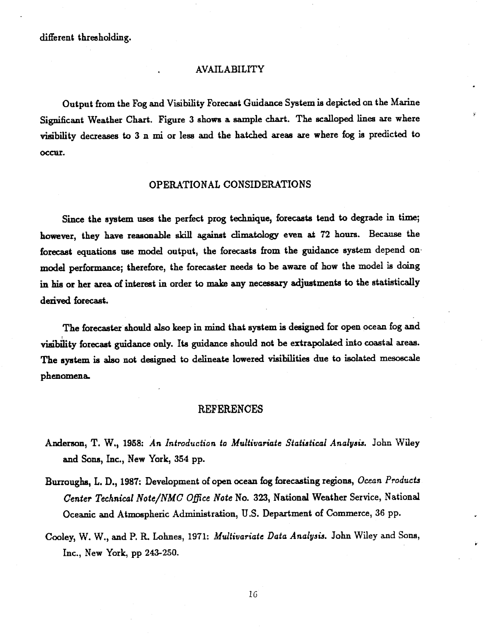#### AVAILABILITY

Output from the Fog and Visibility Forecast Guidance System is depicted on the Marine Significant Weather Chart. Figure 3 shows a sample chart. The scalloped lines are where visibility decreases to 3 n mi or less and the hatched areas are where fog is predicted to occur.

## OPERATIONAL CONSIDERATIONS

Since the system uses the perfect prog technique, forecasts tend to degrade in time; however, they have reasonable skill against climatology even at 72 hours. Because the forecast equations use model output, the forecasts from the guidance system depend onmodel performance; therefore, the forecaster needs to be aware of how the model is doing in his or her area of interest in order to make any necessary adjustments to the statistically derived forecast.

The forecaster should also keep in mind that system is designed for open ocean fog and visibility forecast guidance only. Its guidance should not be extrapolated into coastal areas. The system is also not designed to delineate lowered visibilities due to isolated mesoscale phenomena.

### REFERENCES

- Anderson, T. W., 1988: *An Introduction to Multivariate Statiatical Analysis.* John Wiley and Sons, Inc., New York, 354 pp.
- Burroughs, L. D., 1987: Development of open ocean fog forecasting regions, *Ocean Products Center Technical Note/NMC Office Note* No. 323, National Weather Service, National Oceanic and Atmospheric Administration, U.S. Department of Commerce, 36 pp.
- Cooley, W. W., and P. R. Lohnes, 1971: *Multivariate Data Analysis.* John Wiley and Sons, Inc., New York, pp 243-250.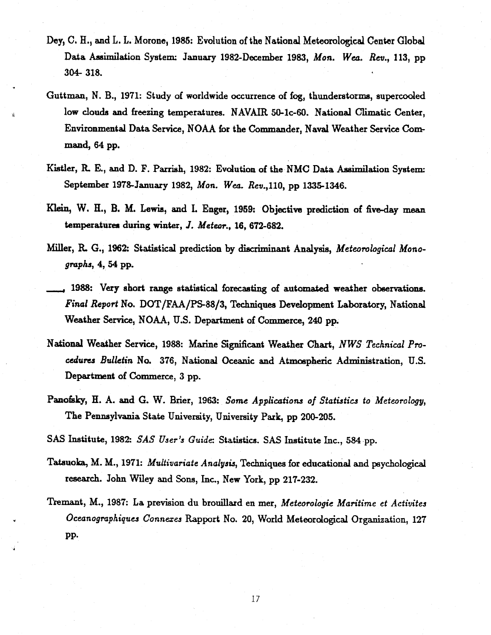- Dey, C. H., and L. L. Morone, 1985; Evolution of the National Meteorological Center Global Data Assimilation System: January 1982-December 1983, *Mon. Wea. Rev.,* 113, pp 304- 318.
- Guttman, N. B., 1971: Study of worldwide occurrence of fog, thunderstorms, supercooled low clouds and freezing temperatures. NAVAIR 50-1c-60. National Climatic Center, Environmental Data Service, NOAA for the Commander, Naval Weather Service Command, 64 pp.
- Kistler, R E., and D. F. Parrish, 1982: Evolution of the NMC Data Assimilation System: September 1978-January 1982, *Mon. Wea. Rev.*, 110, pp 1335-1346.
- Klein, W. H., B. M. Lewis, and I. Enger, 1959: Objective prediction of five-day mean temperatures during winter, *J. Meteor.,* 16, 672-682.
- Miller, R. G., 1962: Statistical prediction by discriminant Analysis, *Meteorological Monographs, 4,* 54 pp.
- **,** 1988: Very short range statistical forecasting of automated weather observations. *Final Report* No. DOT/FAA/PS-88/3, Techniques Development Laboratory, National Weather Service, NOAA, U.S. Department of Commerce, 240 pp.
- National Weather Service, 1988: Marine Significant Weather Chart, *NWS Technical Procedures Bulletin* No. 376, National Oceanic and Atmospheric Administration, U.S. Department of Commerce, 3 pp.
- Panofsky, H. A. and G. W. Brier, 1963: *Some Applications of Statistics to Meteorology,* The Pennsylvania State University, University Park, pp 200-205.

SAS Institute, 1982: *SAS User's Guide:* Statistics. SAS Institute Inc., 584 pp.

- Tatsuolka, M. M., 1971: *Multivariate Analysis,* Techniques for educational and psychological research. John Wiley and Sons, Inc., New York, pp 217-232.
- Tremant, M., 1987: La prevision du brouillard en mer, *Meteorologie Maritime et Activites Oceanographiques Connexes* Rapport No. 20, World Meteorological Organization, 127 PP.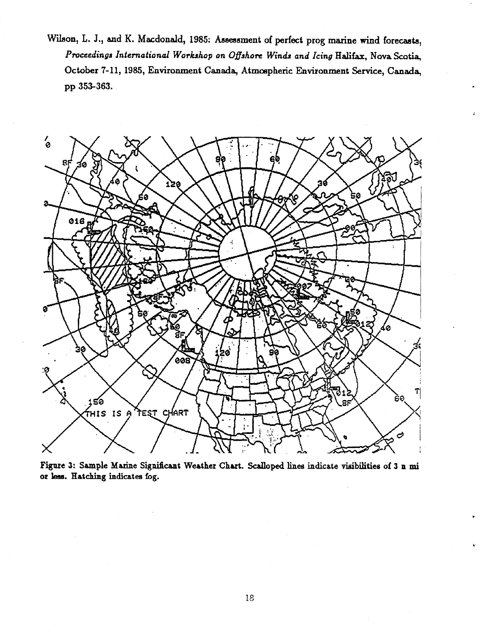Wilson, L. J., and K. Macdonald, 1985: Assessment of perfect prog marine wind forecasts, *Proceedings International Workshop on Offshore Winds and Icing Halifax,* Nova Scotia, October 7-11, 1985, Environment Canada, Atmospheric Environment Service, Canada, pp 353-363.



Figure 3: Sample Marine Significant Weather Chart. Scalloped lines indicate visibilities of 3 n mi or less. Hatching indicates fog.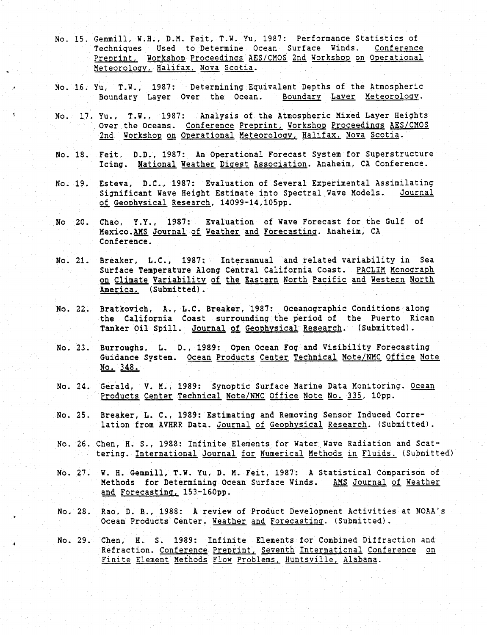- No. 15. Gemmill, W.H., D.M. Feit, T.W. Yu, 1987: Performance Statistics of Techniques Used to Determine Ocean Surface Winds. Preprint. Workshop Proceedings AES/CMOS 2nd Workshop on Operational Meteorology, Halifax, Nova Scotia.
- No. 16. Yu, T.W., 1987: Determining Equivalent Depths of the Atmospheric Boundary Layer Over the Ocean.
- No. 17. Yu., T.W., 1987: Analysis of the Atmospheric Mixed Layer Heights Over the Oceans. Conference Preprint, Workshop Proceedings AES/CMOS 2nd Workshop on Operational Meteorology, Halifax, Nova Scotia.
- No. 18. Feit, D.D., 1987: An Operational Forecast System for Superstructure Icing. National Weather Digest Association. Anaheim, CA Conference.
- No. 19. Esteva, D.C., 1987: Evaluation of Several Experimental Assimilating Significant Wave Height Estimate into Spectral Wave Models. Journal of Geophysical Research, 14099-14,105pp.
- No 20. Chao, Y.Y., 1987: Evaluation of Wave Forecast for the Gulf of Mexico.AMS Journal of Weather and Forecasting. Anaheim, CA Conference.
- No. 21. Breaker, L.C., 1987: Interannual and related variability in Sea Surface Temperature Along Central California Coast. PACLIM Monograph on Climate Variability of the Eastern North Pacific and Western North America. (Submitted).
- No. 22. Bratkovich, A., L.C. Breaker, 1987: Oceanographic Conditions along the California Coast surrounding the period of the Puerto Rican Tanker Oil Spill. Journal of Geophysical Research. (Submitted).
- No. 23. Burroughs, L. D., 1989: Open Ocean Fog and Visibility Forecasting Guidance System. Ocean Products Center Technical Note/NMC Office Note No. 348.
- No. 24. Gerald, V. M., 1989: Synoptic Surface Marine Data Monitoring. Ocean Products Center Technical Note/NMC Office Note No. 335, 10pp.
- No. 25. Breaker, L. C., 1989: Estimating and Removing Sensor Induced Correlation from AVHRR Data. Journal of Geophysical Research. (Submitted).
- No. 26. Chen, H. S., 1988: Infinite Elements for Water Wave Radiation and Scattering. International Journal for Numerical Methods in Fluids. (Submitted)
- No. 27. W. H. Gemmill, T.W. Yu, D. M. Feit, 1987: A Statistical Comparison of Methods for Determining Ocean Surface Winds. AMS Journal of Weather and Forecasting, 153-160pp.
- No. 28. Rao, D. B., 1988: A review of Product Development Activities at NOAA's Ocean Products Center. Weather and Forecasting. (Submitted).
- No. 29. Chen, H. S. 1989: Infinite Elements for Combined Diffraction and Refraction. Conference Preprint, Seventh International Conference on Finite Element Methods Flow Problems, Huntsville, Alabama.